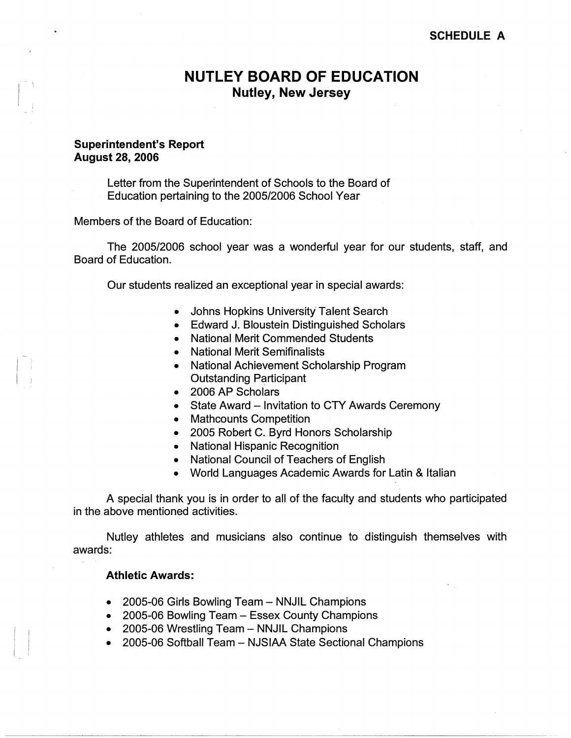# **SCHEDULE A**

# **NUTLEY BOARD OF EDUCATION Nutley, New Jersey**

# **Superintendent's Report August 28, 2006**

Letter from the Superintendent of Schools to the Board of Education pertaining to the 2005/2006 School Year

Members of the Board of Education:

The 2005/2006 school year was a wonderful year for our students, staff, and Board of Education.

Our students realized an exceptional year in special awards:

- Johns Hopkins University Talent Search
- Edward J. Bloustein Distinguished Scholars
- National Merit Commended Students
- National Merit Semifinalists
- National Achievement Scholarship Program Outstanding Participant
- 2006 AP Scholars
- State Award Invitation to CTY Awards Ceremony
- Mathcounts Competition
- 2005 Robert C. Byrd Honors Scholarship
- National Hispanic Recognition
- National Council of Teachers of English
- World Languages Academic Awards for Latin & Italian

A special thank you is in order to all of the faculty and students who participated in the above mentioned activities.

Nutley athletes and musicians also continue to distinguish themselves with awards:

## **Athletic Awards:**

- 2005-06 Girls Bowling Team NNJIL Champions
- 2005-06 Bowling Team Essex County Champions
- 2005-06 Wrestling Team NNJIL Champions
- 2005-06 Softball Team NJSIAA State Sectional Champions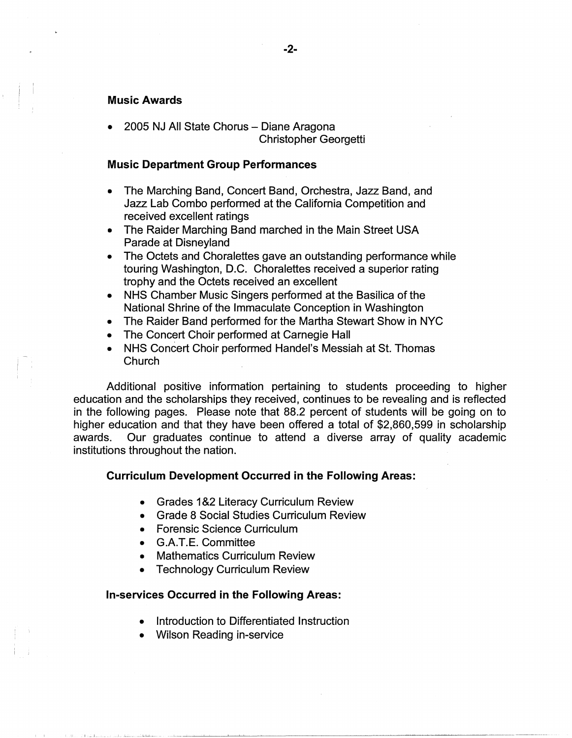## **Music Awards**

• 2005 NJ All State Chorus - Diane Aragona Christopher Georgetti

## **Music Department Group Performances**

- The Marching Band, Concert Band, Orchestra, Jazz Band, and Jazz Lab Combo performed at the California Competition and received excellent ratings
- The Raider Marching Band marched in the Main Street USA Parade at Disneyland
- The Octets and Choralettes gave an outstanding performance while touring Washington, D.C. Choralettes received a superior rating trophy and the Octets received an excellent
- NHS Chamber Music Singers performed at the Basilica of the National Shrine of the Immaculate Conception in Washington
- The Raider Band performed for the Martha Stewart Show in NYC
- The Concert Choir performed at Carnegie Hall
- NHS Concert Choir performed Handel's Messiah at St. Thomas Church

Additional positive information pertaining to students proceeding to higher education and the scholarships they received, continues to be revealing and is reflected in the following pages. Please note that 88.2 percent of students will be going on to higher education and that they have been offered a total of \$2,860,599 in scholarship awards. Our graduates continue to attend a diverse array of quality academic institutions throughout the nation.

### **Curriculum Development Occurred in the Following Areas:**

- Grades 1 &2 Literacy Curriculum Review
- Grade 8 Social Studies Curriculum Review
- Forensic Science Curriculum
- G.A.T.E. Committee
- Mathematics Curriculum Review
- **Technology Curriculum Review**

## **In-services Occurred in the Following Areas:**

- Introduction to Differentiated Instruction
- Wilson Reading in-service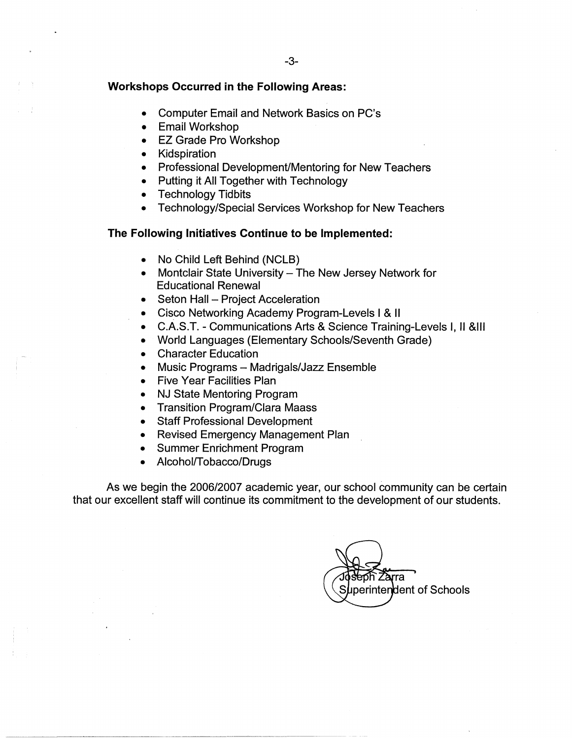### **Workshops Occurred in the Following Areas:**

- Computer Email and Network Basics on PC's
- Email Workshop
- EZ Grade Pro Workshop
- Kidspiration
- Professional Development/Mentoring for New Teachers
- Putting it All Together with Technology
- **Technology Tidbits**
- Technology/Special Services Workshop for New Teachers

## **The Following Initiatives Continue to be Implemented:**

- No Child Left Behind (NCLB)
- Montclair State University The New Jersey Network for Educational Renewal
- Seton Hall Project Acceleration
- Cisco Networking Academy Program-Levels I & II
- C.A.S.T. Communications Arts & Science Training-Levels I, II &Ill
- World Languages (Elementary Schools/Seventh Grade)
- Character Education
- Music Programs Madrigals/Jazz Ensemble
- Five Year Facilities Plan
- NJ State Mentoring Program
- Transition Program/Clara Maass
- Staff Professional Development
- Revised Emergency Management Plan
- Summer Enrichment Program
- Alcohol/Tobacco/Drugs

As we begin the 2006/2007 academic year, our school community can be certain that our excellent staff will continue its commitment to the development of our students.

Zarra Superintendent of Schools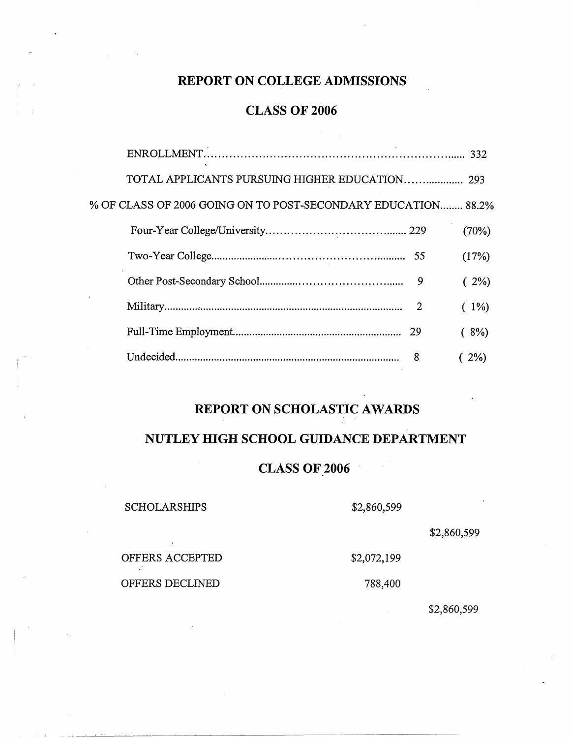# **REPORT ON COLLEGE ADMISSIONS**

# **CLASS OF 2006**

| TOTAL APPLICANTS PURSUING HIGHER EDUCATION 293                |   |         |
|---------------------------------------------------------------|---|---------|
| % OF CLASS OF 2006 GOING ON TO POST-SECONDARY EDUCATION 88.2% |   |         |
|                                                               |   | (70%)   |
|                                                               |   | (17%)   |
|                                                               | 9 | $(2\%)$ |
|                                                               | 2 | $(1\%)$ |
|                                                               |   | (8%)    |
|                                                               | 8 | $2\%)$  |
|                                                               |   |         |

# **REPORT ON SCHOLASTIC AWARDS**

# **NUTLEY HIGH SCHOOL GUIDANCE DEPARTMENT**

# **CLASS OF 2006**

## SCHOLARSHIPS

\$2,860,599

\$2,072,199

\$2,860,599

OFFERS ACCEPTED

OFFERS DECLINED

788,400

\$2,860,599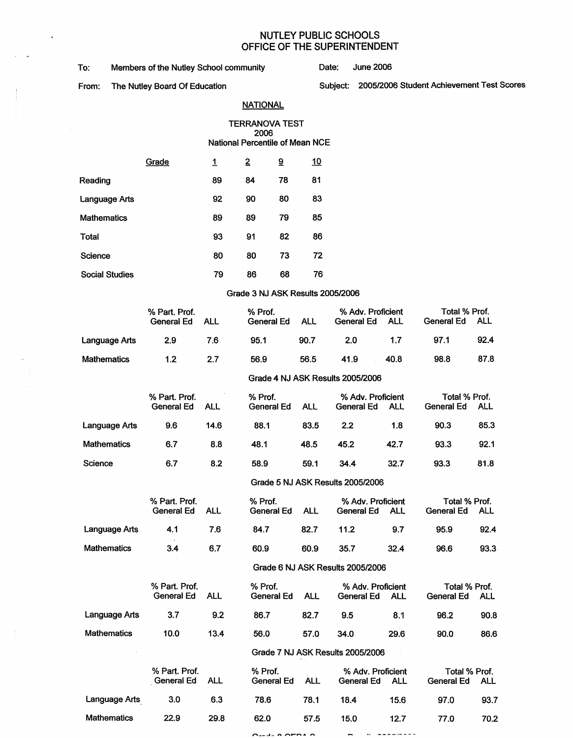## NUTLEY PUBLIC SCHOOLS OFFICE OF THE SUPERINTENDENT

To: Members of the Nutley School community **Date:** June 2006

 $\ddot{\phantom{a}}$ 

 $\bar{\gamma}$ 

÷.

# From: The Nutley Board Of Education Subject: 2005/2006 Student Achievement Test Scores

## **NATIONAL**

#### TERRANOVA TEST 2006 National Percentile of Mean NCE

|                       | Grade | 1  | 2  | ទី | <u>10</u> |
|-----------------------|-------|----|----|----|-----------|
| Reading               |       | 89 | 84 | 78 | 81        |
| Language Arts         |       | 92 | 90 | 80 | 83        |
| Mathematics           |       | 89 | 89 | 79 | 85        |
| Total                 |       | 93 | 91 | 82 | 86        |
| Science               |       | 80 | 80 | 73 | 72        |
| <b>Social Studies</b> |       | 79 | 86 | 68 | 76        |

#### Grade 3 NJ ASK Results 2005/2006

|                    | % Part. Prof.<br>General Ed        | <b>ALL</b> | % Prof.<br>General Ed                            | <b>ALL</b> | % Adv. Proficient<br>General Ed               | <b>ALL</b> | Total % Prof.<br><b>General Ed</b>        | ALL  |
|--------------------|------------------------------------|------------|--------------------------------------------------|------------|-----------------------------------------------|------------|-------------------------------------------|------|
| Language Arts      | 2.9                                | 7.6        | 95.1                                             | 90.7       | 2.0                                           | 1.7        | 97.1                                      | 92.4 |
| <b>Mathematics</b> | 1.2                                | 2.7        | 56.9                                             | 56.5       | 41.9                                          | 40.8       | 98.8                                      | 87.8 |
|                    |                                    |            |                                                  |            | Grade 4 NJ ASK Results 2005/2006              |            |                                           |      |
|                    | % Part. Prof.<br><b>General Ed</b> | <b>ALL</b> | % Prof.<br>General Ed                            | <b>ALL</b> | % Adv. Proficient<br>General Ed<br><b>ALL</b> |            | Total % Prof.<br>General Ed<br><b>ALL</b> |      |
| Language Arts      | 9.6                                | 14.6       | 88.1                                             | 83.5       | 2.2                                           | 1.8        | 90.3                                      | 85.3 |
| <b>Mathematics</b> | 6.7                                | 8.8        | 48.1                                             | 48.5       | 45.2                                          | 42.7       | 93.3                                      | 92.1 |
| Science            | 6.7                                | 8.2        | 58.9                                             | 59.1       | 34.4                                          | 32.7       | 93.3                                      | 81.8 |
|                    |                                    |            | $\sim$ $\sim$ $\sim$ $\sim$ $\sim$ $\sim$ $\sim$ |            | $P = R = R + R - R$                           |            |                                           |      |

#### Grade 5 NJ ASK Results 2005/2006

|               | % Part. Prof.<br>General Ed | ALL | % Prof.<br>General Ed | ALL  | % Adv. Proficient<br>General Ed  | ALL  | Total % Prof.<br><b>General Ed</b> | ALL  |
|---------------|-----------------------------|-----|-----------------------|------|----------------------------------|------|------------------------------------|------|
| Language Arts | 4.1                         | 7.6 | 84.7                  | 82.7 | 11.2                             | 9.7  | 95.9                               | 92.4 |
| Mathematics   | 3.4                         | 6.7 | 60.9                  | 60.9 | 35.7                             | 32.4 | 96.6                               | 93.3 |
|               |                             |     |                       |      | Crode B N LACK Desults 2005/2008 |      |                                    |      |

#### Grade 6 NJ ASK Results 2005/2006

|               | % Part. Prof. |            | % Prof.    |      | % Adv. Proficient |      | Total % Prof. |            |  |
|---------------|---------------|------------|------------|------|-------------------|------|---------------|------------|--|
|               | General Ed    | <b>ALL</b> | General Ed | ALL  | General Ed        | ALL  | General Ed    | <b>ALL</b> |  |
| Language Arts | 3.7           | 9.2        | 86.7       | 82.7 | 9.5               | 8.1  | 96.2          | 90.8       |  |
| Mathematics   | 10.0          | 13.4       | 56.0       | 57.0 | 34.0              | 29.6 | 90.0          | 86.6       |  |

### Grade 7 NJ ASK Results 2005/2006

|               | % Part. Prof.<br>General Ed | ALL  | % Prof.<br>General Ed | ALL  | % Adv. Proficient<br>General Ed | ALL  | Total % Prof.<br>General Ed | ALL  |
|---------------|-----------------------------|------|-----------------------|------|---------------------------------|------|-----------------------------|------|
| Language Arts | 3.0                         | 6.3  | 78.6                  | 78.1 | 18.4                            | 15.6 | 97.0                        | 93.7 |
| Mathematics   | 22.9                        | 29.8 | 62.0                  | 57.5 | 15.0                            | 12.7 | 77.0                        | 70.2 |
|               |                             |      | $-$ 0.050 $\alpha$    |      |                                 |      |                             |      |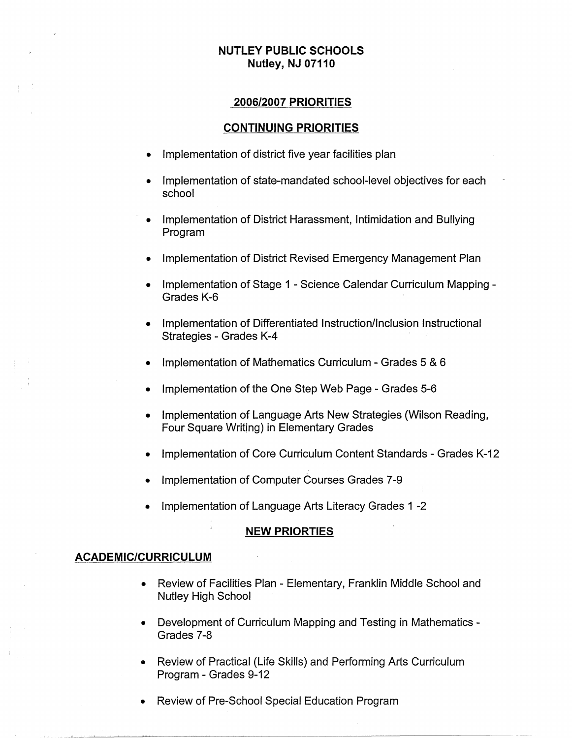# **NUTLEY PUBLIC SCHOOLS Nutley, NJ 07110**

# **2006/2007 PRIORITIES**

## **CONTINUING PRIORITIES**

- Implementation of district five year facilities plan
- Implementation of state-mandated school-level objectives for each school
- Implementation of District Harassment, Intimidation and Bullying Program
- Implementation of District Revised Emergency Management Plan
- Implementation of Stage 1 Science Calendar Curriculum Mapping Grades K-6
- Implementation of Differentiated Instruction/Inclusion Instructional Strategies - Grades K-4
- Implementation of Mathematics Curriculum Grades 5 & 6
- Implementation of the One Step Web Page Grades 5-6
- Implementation of Language Arts New Strategies (Wilson Reading, Four Square Writing) in Elementary Grades
- Implementation of Core Curriculum Content Standards Grades K-12
- Implementation of Computer Courses Grades 7-9
- Implementation of Language Arts Literacy Grades 1 -2

## **NEW PRIORTIES**

## **ACADEMIC/CURRICULUM**

- Review of Facilities Plan Elementary, Franklin Middle School and Nutley High School
- Development of Curriculum Mapping and Testing in Mathematics Grades 7-8
- Review of Practical (Life Skills) and Performing Arts Curriculum Program - Grades 9-12
- Review of Pre-School Special Education Program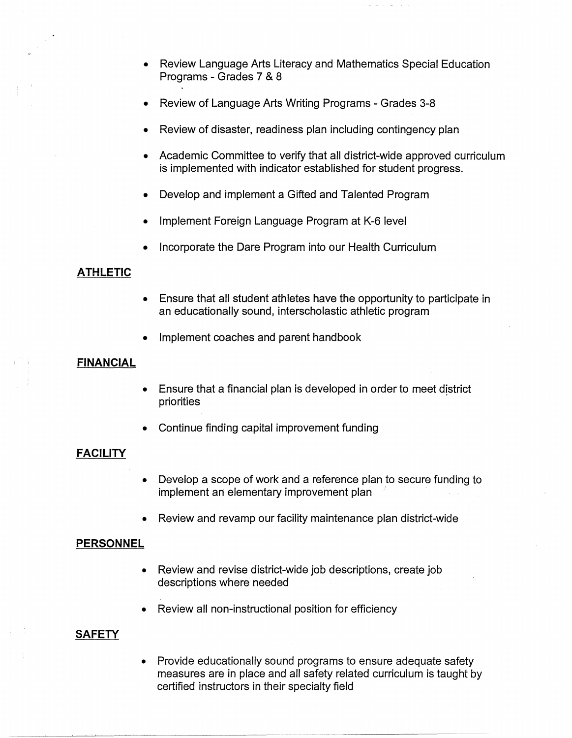- Review Language Arts Literacy and Mathematics Special Education Programs - Grades 7 & 8
- Review of Language Arts Writing Programs Grades 3-8
- Review of disaster, readiness plan including contingency plan
- Academic Committee to verify that all district-wide approved curriculum is implemented with indicator established for student progress.
- Develop and implement a Gifted and Talented Program
- Implement Foreign Language Program at K-6 level
- Incorporate the Dare Program into our Health Curriculum

# **ATHLETIC**

- Ensure that all student athletes have the opportunity to participate in an educationally sound, interscholastic athletic program
- Implement coaches and parent handbook

# **FINANCIAL**

- Ensure that a financial plan is developed in order to meet district priorities
- Continue finding capital improvement funding

# **FACILITY**

- Develop a scope of work and a reference plan to secure funding to implement an elementary improvement plan
- Review and revamp our facility maintenance plan district-wide

# **PERSONNEL**

- Review and revise district-wide job descriptions, create job descriptions where needed
- Review all non-instructional position for efficiency

# **SAFETY**

• Provide educationally sound programs to ensure adequate safety measures are in place and all safety related curriculum is taught by certified instructors in their specialty field